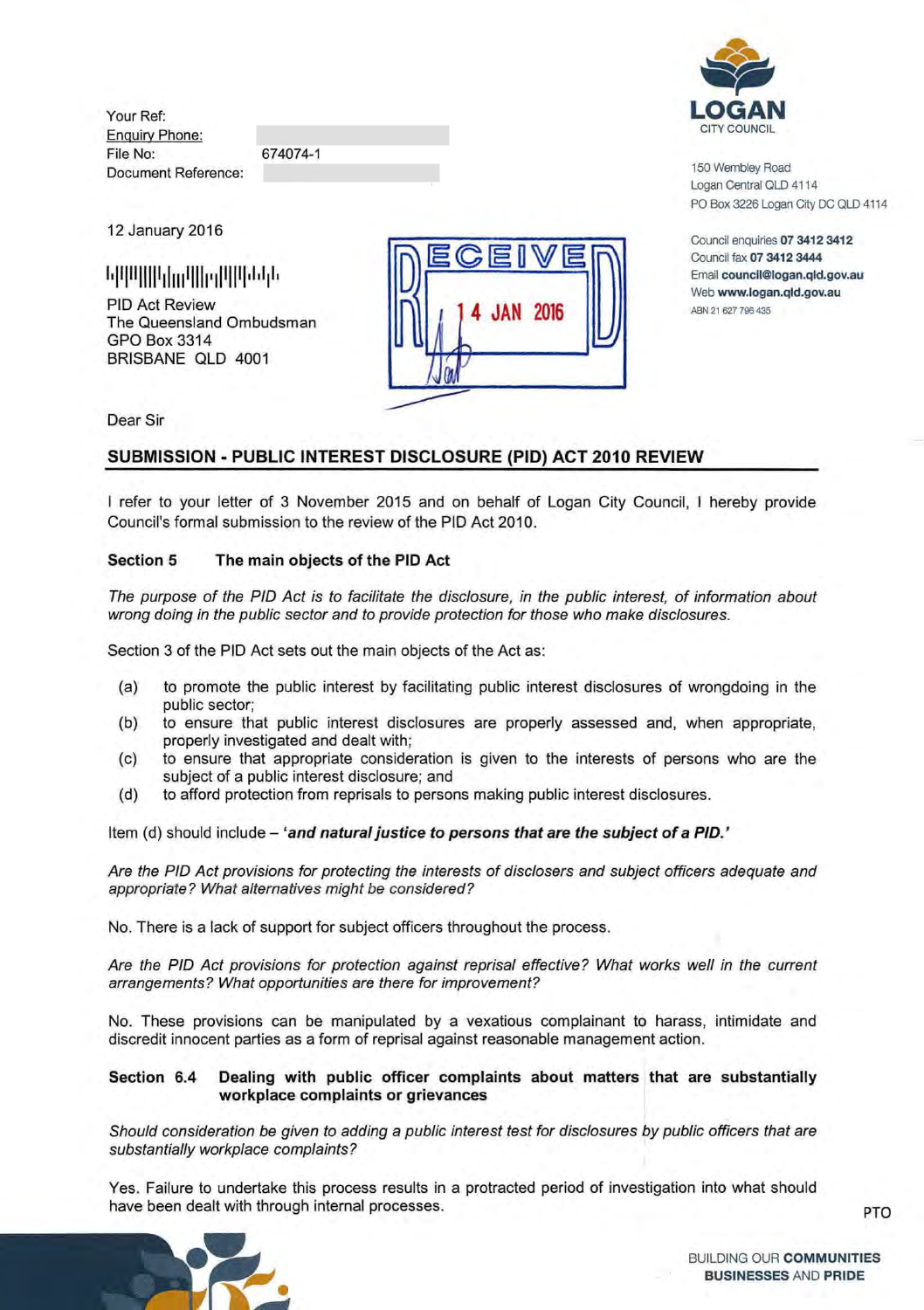Your Ref: Enquiry Phone: File No: Document Reference:

674074-1

12 January 2016

PIO Act Review The Queensland Ombudsman GPO Box 3314 BRISBANE OLD 4001





150 Wembley Road Logan Central OLD 4114 PO Box 3226 Logan City DC OLD 4114

Council enquiries 07 3412 3412 Council fax 07 3412 3444 Email council@logan.qld.gov.au Web www.logan.qld.gov.au ABN 21 627 796 435

Dear Sir

# **SUBMISSION - PUBLIC INTEREST DISCLOSURE (PIO) ACT 2010 REVIEW**

I refer to your letter of 3 November 2015 and on behalf of Logan City Council, I hereby provide Council's formal submission to the review of the PIO Act 2010.

## **Section 5 The main objects of the PIO Act**

The purpose of the PIO Act is to facilitate the disclosure, in the public interest, of information about wrong doing in the public sector and to provide protection for those who make disclosures.

Section 3 of the PIO Act sets out the main objects of the Act as:

- (a) to promote the public interest by facilitating public interest disclosures of wrongdoing in the public sector;
- (b) to ensure that public interest disclosures are properly assessed and, when appropriate, properly investigated and dealt with;
- (c) to ensure that appropriate consideration is given to the interests of persons who are the subject of a public interest disclosure; and
- {d} to afford protection from reprisals to persons making public interest disclosures.

Item (d) should include - 'and natural justice to persons that are the subject of a PID.'

Are the PIO Act provisions for protecting the interests of disclosers and subject officers adequate and appropriate? What alternatives might be considered?

No. There is a lack of support for subject officers throughout the process.

Are the PIO Act provisions for protection against reprisal effective? What works well in the current arrangements? What opportunities are there for improvement?

No. These provisions can be manipulated by a vexatious complainant to harass, intimidate and discredit innocent parties as a form of reprisal against reasonable management action.

## **Section 6.4 Dealing with public officer complaints about matters that are substantially workplace complaints or grievances**

Should consideration be given to adding a public interest test for disclosures by public officers that are substantially workplace complaints?

Yes. Failure to undertake this process results in a protracted period of investigation into what should have been dealt with through internal processes. **PTO** example  $PTO$ 



BUILDING OUR **COMMUNITIES BUSINESSES** AND **PRIDE**